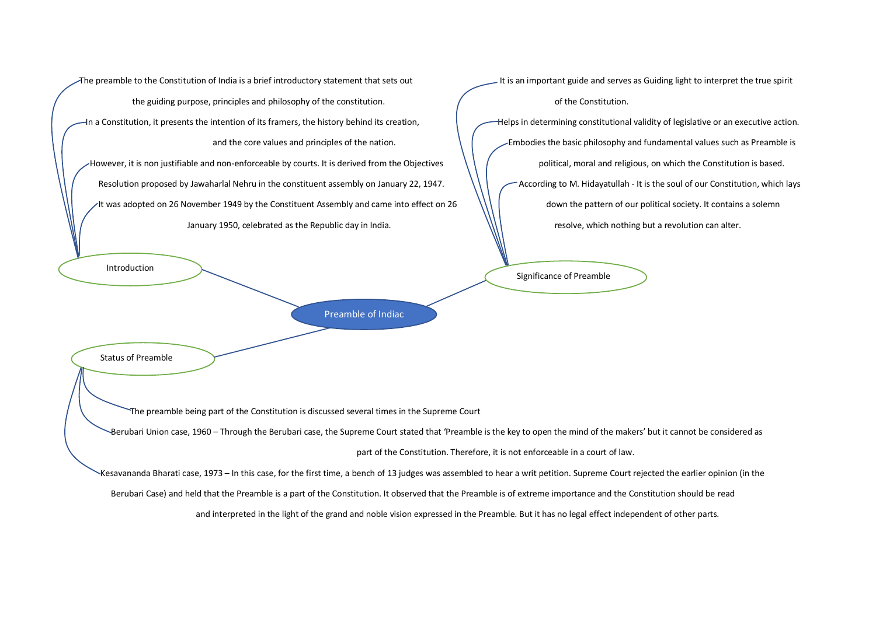The preamble to the Constitution of India is a brief introductory statement that sets out It is an important guide and serves as Guiding light to interpret the true spirit the guiding purpose, principles and philosophy of the constitution.  $\sqrt{\phantom{a}}$  of the Constitution. In a Constitution, it presents the intention of its framers, the history behind its creation, Helps in determining constitutional validity of legislative or an executive action. However, it is non justifiable and non-enforceable by courts. It is derived from the Objectives  $\|\cdot\|$  political, moral and religious, on which the Constitution is based. Resolution proposed by Jawaharlal Nehru in the constituent assembly on January 22, 1947. According to M. Hidayatullah - It is the soul of our Constitution, which lays It was adopted on 26 November 1949 by the Constituent Assembly and came into effect on 26  $\hskip 4mm \backslash \backslash \, \backslash \,$  down the pattern of our political society. It contains a solemn January 1950, celebrated as the Republic day in India. The Same Common Subset of the Second Life of the Republic day in India.

and the core values and principles of the nation. Embodies the basic philosophy and fundamental values such as Preamble is

Introduction

Preamble of Indiac

Status of Preamble

The preamble being part of the Constitution is discussed several times in the Supreme Court

Berubari Union case, 1960 – Through the Berubari case, the Supreme Court stated that 'Preamble is the key to open the mind of the makers' but it cannot be considered as

part of the Constitution. Therefore, it is not enforceable in a court of law.

Significance of Preamble

Kesavananda Bharati case, 1973 – In this case, for the first time, a bench of 13 judges was assembled to hear a writ petition. Supreme Court rejected the earlier opinion (in the

Berubari Case) and held that the Preamble is a part of the Constitution. It observed that the Preamble is of extreme importance and the Constitution should be read

and interpreted in the light of the grand and noble vision expressed in the Preamble. But it has no legal effect independent of other parts.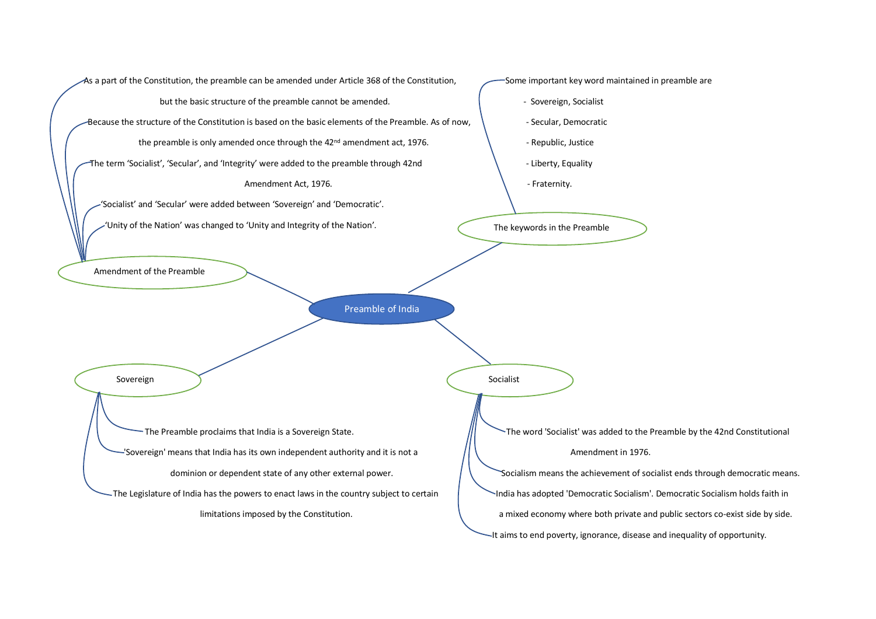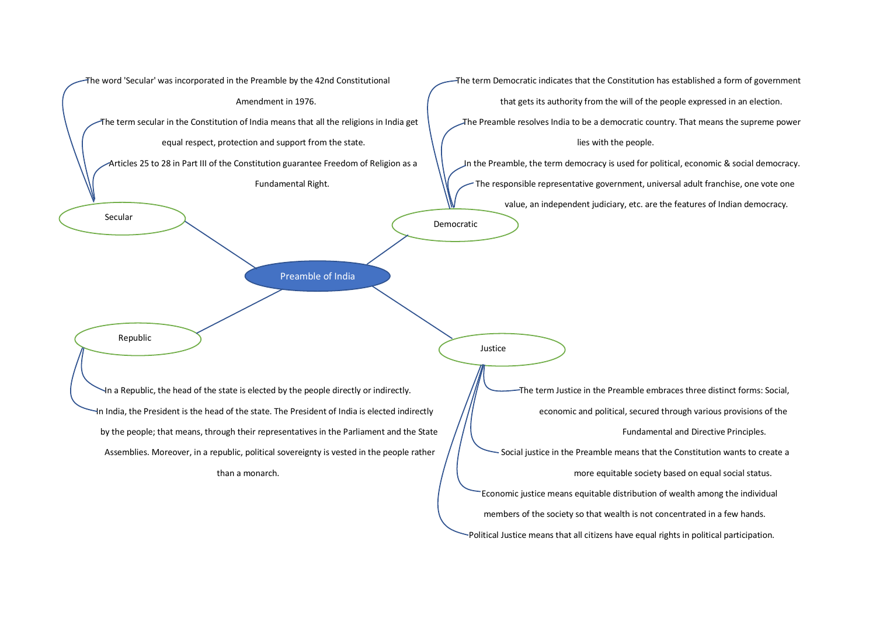